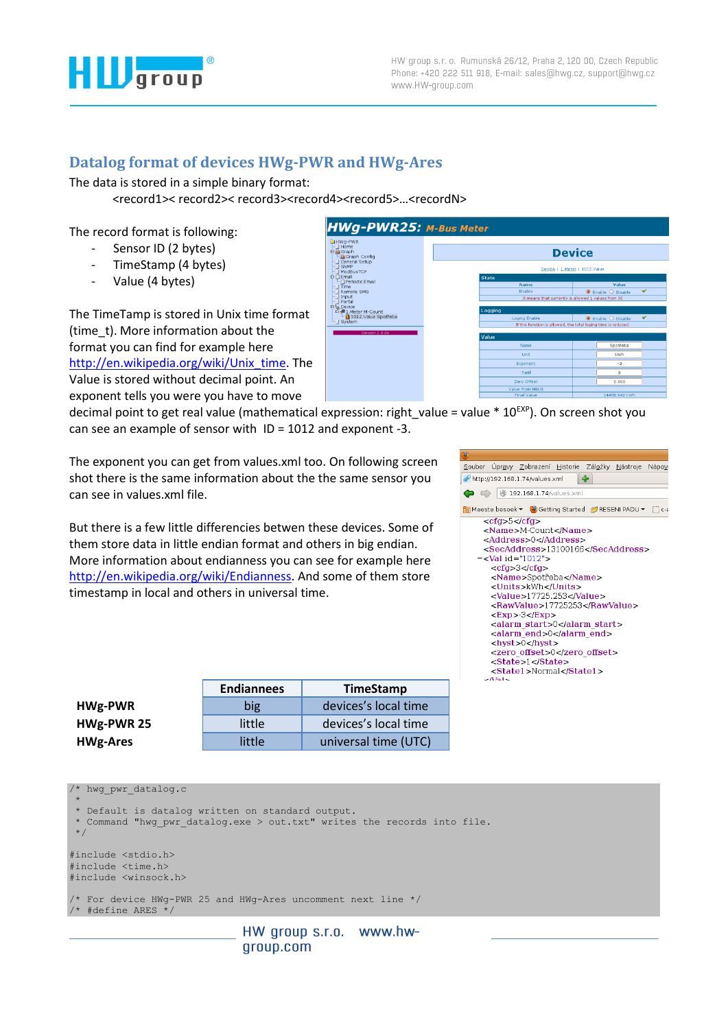

## **Datalog format of devices HWg-PWR and HWg-Ares**

The data is stored in a simple binary format:

<record1>< record2>< record3><record4><record5>…<recordN>

The record format is following:

- Sensor ID (2 bytes)
- TimeStamp (4 bytes)
- Value (4 bytes)

The TimeTamp is stored in Unix time format (time\_t). More information about the format you can find for example here [http://en.wikipedia.org/wiki/Unix\\_time.](http://en.wikipedia.org/wiki/Unix_time) The Value is stored without decimal point. An exponent tells you were you have to move



decimal point to get real value (mathematical expression: right value = value \*  $10^{EXP}$ ). On screen shot you can see an example of sensor with ID = 1012 and exponent -3.

The exponent you can get from values.xml too. On following screen shot there is the same information about the the same sensor you can see in values.xml file.

But there is a few little differencies betwen these devices. Some of them store data in little endian format and others in big endian. More information about endianness you can see for example here [http://en.wikipedia.org/wiki/Endianness.](http://en.wikipedia.org/wiki/Endianness) And some of them store timestamp in local and others in universal time.

| <u>S</u> oubor Úpr <u>a</u> vy <u>Z</u> obrazení <u>H</u> istorie Zál <u>o</u> žky <u>N</u> ástroje Nápo <u>v</u> |  |  |  |
|-------------------------------------------------------------------------------------------------------------------|--|--|--|
| ∣⇔<br>http://192.168.1.74/values.xml                                                                              |  |  |  |
| $\bigcirc$ $\bigcirc$ 192.168.1.74/values.xml                                                                     |  |  |  |
| Meeste besoek ▼ ② Getting Started  RESENI PADU ▼ [ ]c-                                                            |  |  |  |
| $<$ cfg>5 $<$ /cfg>                                                                                               |  |  |  |
| <name>M-Count</name>                                                                                              |  |  |  |
| <address>0</address>                                                                                              |  |  |  |
| <secaddress>13100166</secaddress>                                                                                 |  |  |  |
| $-$ <val id="1012"></val>                                                                                         |  |  |  |
| $<$ cfg> $3$ < $/$ cfg>                                                                                           |  |  |  |
| <name>Spotřeba</name>                                                                                             |  |  |  |
| <units>kWh</units>                                                                                                |  |  |  |
| <value>17725.253</value>                                                                                          |  |  |  |
| <rawvalue>17725253</rawvalue>                                                                                     |  |  |  |
| $<$ EXD $>$ 3 $<$ /EXD $>$                                                                                        |  |  |  |
| <alarm start="">0</alarm>                                                                                         |  |  |  |
| <alarm end="">0</alarm>                                                                                           |  |  |  |
| $<$ hyst $>0$ $<$ /hyst $>$                                                                                       |  |  |  |
| <zero offset="">0</zero>                                                                                          |  |  |  |
| <state>1</state>                                                                                                  |  |  |  |
| <state1>Normal</state1>                                                                                           |  |  |  |
| $\sqrt{551}$                                                                                                      |  |  |  |
|                                                                                                                   |  |  |  |

|                 | <b>Endiannees</b> | <b>TimeStamp</b>     |
|-----------------|-------------------|----------------------|
| <b>HWg-PWR</b>  | big               | devices's local time |
| HWg-PWR 25      | little            | devices's local time |
| <b>HWg-Ares</b> | little            | universal time (UTC) |

/\* hwg pwr datalog.c

\* \* Default is datalog written on standard output. \* Command "hwg pwr datalog.exe > out.txt" writes the records into file. \*/ #include <stdio.h> #include <time.h> #include <winsock.h> /\* For device HWg-PWR 25 and HWg-Ares uncomment next line \*/ /\* #define ARES \*/

HW group s.r.o. www.hwgroup.com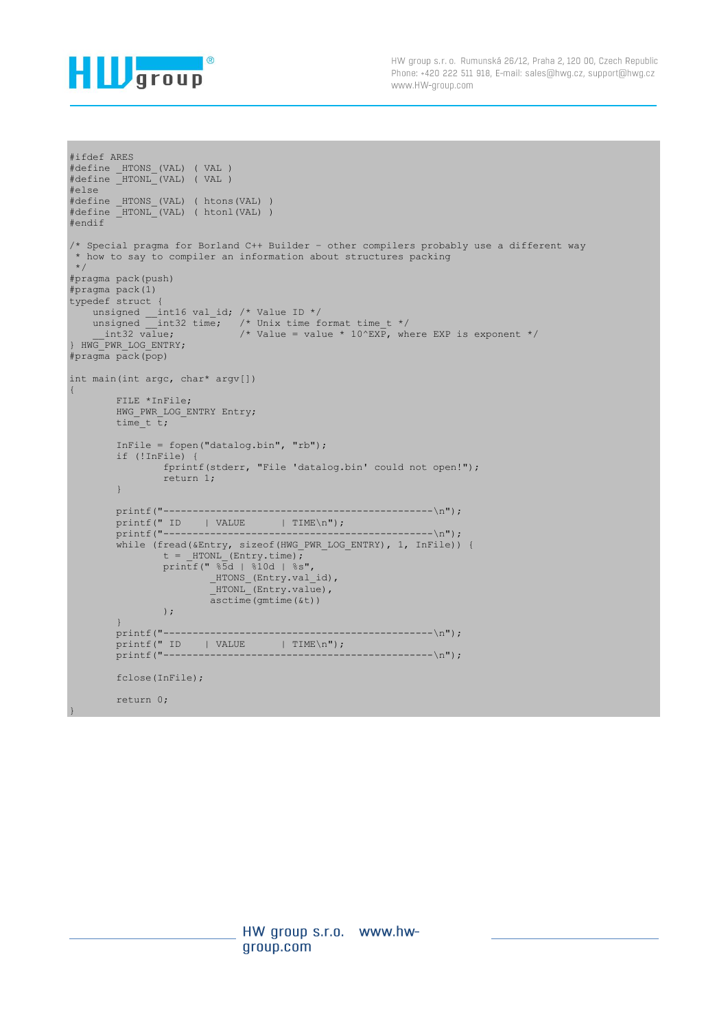

```
#ifdef ARES
#define _HTONS_(VAL) ( VAL )
#define _HTONL_(VAL) ( VAL )
#else
#define HTONS (VAL) ( htons(VAL) )
#define HTONL (VAL) ( htonl(VAL) )
#endif
/* Special pragma for Borland C++ Builder – other compilers probably use a different way
* how to say to compiler an information about structures packing 
*/
#pragma pack(push)
#pragma pack(1)
typedef struct {
  unsigned __int16 val_id; /* Value ID */
unsigned int32 time; /* Unix time format time t */int32 value; \frac{1}{2} /* Value = value * 10^EXP, where EXP is exponent */
} HWG_PWR_LOG_ENTRY;
#pragma pack(pop)
int main(int argc, char* argv[])
{
        FILE *InFile;
       HWG PWR LOG ENTRY Entry;
       time t t;
        InFile = fopen("datalog.bin", "rb");
        if (!InFile) {
               fprintf(stderr, "File 'datalog.bin' could not open!");
               return 1;
         }
        printf("----------------------------------------------\n");
        printf(" ID | VALUE | TIME\n");
        printf("----------------------------------------------\n");
while (fread(&Entry, sizeof(HWG PWR LOG ENTRY), 1, InFile)) {
t = HTONL (Entry.time);
 printf(" %5d | %10d | %s",
                       _HTONS_(Entry.val_id),
                         _HTONL_(Entry.value),
                       \bar{a}sctime(gmtime(\bar{\delta}t))
                );
         }
        printf("----------------------------------------------\n");
        printf(" ID | VALUE | TIME\n");
                                                --------------\n");
        fclose(InFile);
        return 0;
}
```